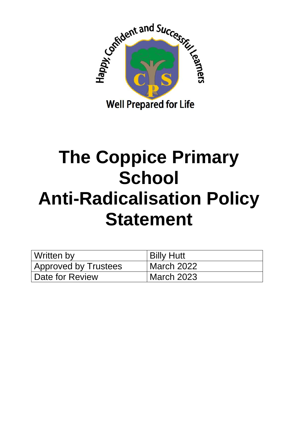

# **The Coppice Primary School Anti-Radicalisation Policy Statement**

| Written by                  | <b>Billy Hutt</b> |
|-----------------------------|-------------------|
| <b>Approved by Trustees</b> | March 2022        |
| Date for Review             | March 2023        |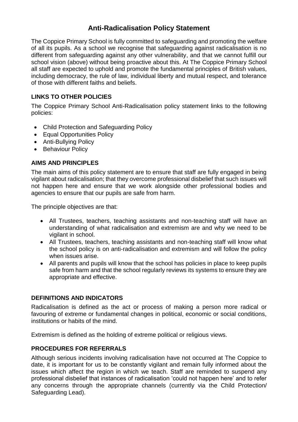## **Anti-Radicalisation Policy Statement**

The Coppice Primary School is fully committed to safeguarding and promoting the welfare of all its pupils. As a school we recognise that safeguarding against radicalisation is no different from safeguarding against any other vulnerability, and that we cannot fulfill our school vision (above) without being proactive about this. At The Coppice Primary School all staff are expected to uphold and promote the fundamental principles of British values, including democracy, the rule of law, individual liberty and mutual respect, and tolerance of those with different faiths and beliefs.

## **LINKS TO OTHER POLICIES**

The Coppice Primary School Anti-Radicalisation policy statement links to the following policies:

- Child Protection and Safeguarding Policy
- Equal Opportunities Policy
- Anti-Bullying Policy
- Behaviour Policy

## **AIMS AND PRINCIPLES**

The main aims of this policy statement are to ensure that staff are fully engaged in being vigilant about radicalisation; that they overcome professional disbelief that such issues will not happen here and ensure that we work alongside other professional bodies and agencies to ensure that our pupils are safe from harm.

The principle objectives are that:

- All Trustees, teachers, teaching assistants and non-teaching staff will have an understanding of what radicalisation and extremism are and why we need to be vigilant in school.
- All Trustees, teachers, teaching assistants and non-teaching staff will know what the school policy is on anti-radicalisation and extremism and will follow the policy when issues arise.
- All parents and pupils will know that the school has policies in place to keep pupils safe from harm and that the school regularly reviews its systems to ensure they are appropriate and effective.

## **DEFINITIONS AND INDICATORS**

Radicalisation is defined as the act or process of making a person more radical or favouring of extreme or fundamental changes in political, economic or social conditions, institutions or habits of the mind.

Extremism is defined as the holding of extreme political or religious views.

## **PROCEDURES FOR REFERRALS**

Although serious incidents involving radicalisation have not occurred at The Coppice to date, it is important for us to be constantly vigilant and remain fully informed about the issues which affect the region in which we teach. Staff are reminded to suspend any professional disbelief that instances of radicalisation 'could not happen here' and to refer any concerns through the appropriate channels (currently via the Child Protection/ Safeguarding Lead).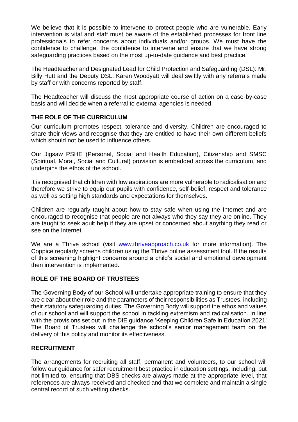We believe that it is possible to intervene to protect people who are vulnerable. Early intervention is vital and staff must be aware of the established processes for front line professionals to refer concerns about individuals and/or groups. We must have the confidence to challenge, the confidence to intervene and ensure that we have strong safeguarding practices based on the most up-to-date guidance and best practice.

The Headteacher and Designated Lead for Child Protection and Safeguarding (DSL): Mr. Billy Hutt and the Deputy DSL: Karen Woodyatt will deal swiftly with any referrals made by staff or with concerns reported by staff.

The Headteacher will discuss the most appropriate course of action on a case-by-case basis and will decide when a referral to external agencies is needed.

## **THE ROLE OF THE CURRICULUM**

Our curriculum promotes respect, tolerance and diversity. Children are encouraged to share their views and recognise that they are entitled to have their own different beliefs which should not be used to influence others.

Our Jigsaw PSHE (Personal, Social and Health Education), Citizenship and SMSC (Spiritual, Moral, Social and Cultural) provision is embedded across the curriculum, and underpins the ethos of the school.

It is recognised that children with low aspirations are more vulnerable to radicalisation and therefore we strive to equip our pupils with confidence, self-belief, respect and tolerance as well as setting high standards and expectations for themselves.

Children are regularly taught about how to stay safe when using the Internet and are encouraged to recognise that people are not always who they say they are online. They are taught to seek adult help if they are upset or concerned about anything they read or see on the Internet.

We are a Thrive school (visit [www.thriveapproach.co.uk](http://www.thriveapproach.co.uk/) for more information). The Coppice regularly screens children using the Thrive online assessment tool. If the results of this screening highlight concerns around a child's social and emotional development then intervention is implemented.

## **ROLE OF THE BOARD OF TRUSTEES**

The Governing Body of our School will undertake appropriate training to ensure that they are clear about their role and the parameters of their responsibilities as Trustees, including their statutory safeguarding duties. The Governing Body will support the ethos and values of our school and will support the school in tackling extremism and radicalisation. In line with the provisions set out in the DfE guidance 'Keeping Children Safe in Education 2021' The Board of Trustees will challenge the school's senior management team on the delivery of this policy and monitor its effectiveness.

#### **RECRUITMENT**

The arrangements for recruiting all staff, permanent and volunteers, to our school will follow our guidance for safer recruitment best practice in education settings, including, but not limited to, ensuring that DBS checks are always made at the appropriate level, that references are always received and checked and that we complete and maintain a single central record of such vetting checks.